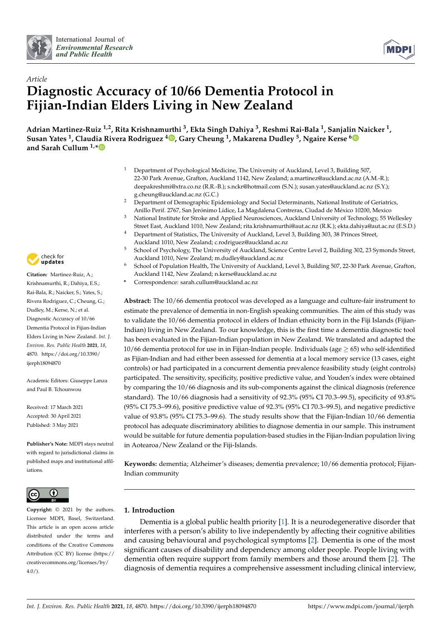



# *Article* **Diagnostic Accuracy of 10/66 Dementia Protocol in Fijian-Indian Elders Living in New Zealand**

**Adrian Martinez-Ruiz 1,2, Rita Krishnamurthi <sup>3</sup> , Ekta Singh Dahiya <sup>3</sup> , Reshmi Rai-Bala <sup>1</sup> , Sanjalin Naicker <sup>1</sup> , Susan Yates <sup>1</sup> , Claudia Rivera Rodriguez <sup>4</sup> [,](https://orcid.org/0000-0002-9614-7036) Gary Cheung <sup>1</sup> , Makarena Dudley <sup>5</sup> , Ngaire Kerse [6](https://orcid.org/0000-0002-5992-3681) and Sarah Cullum 1,[\\*](https://orcid.org/0000-0003-0785-9101)**

- <sup>1</sup> Department of Psychological Medicine, The University of Auckland, Level 3, Building 507, 22-30 Park Avenue, Grafton, Auckland 1142, New Zealand; a.martinez@auckland.ac.nz (A.M.-R.); deepakreshmi@xtra.co.nz (R.R.-B.); s.nckr@hotmail.com (S.N.); susan.yates@auckland.ac.nz (S.Y.); g.cheung@auckland.ac.nz (G.C.)
- <sup>2</sup> Department of Demographic Epidemiology and Social Determinants, National Institute of Geriatrics, Anillo Perif. 2767, San Jerónimo Lídice, La Magdalena Contreras, Ciudad de México 10200, Mexico
- <sup>3</sup> National Institute for Stroke and Applied Neurosciences, Auckland University of Technology, 55 Wellesley Street East, Auckland 1010, New Zealand; rita.krishnamurthi@aut.ac.nz (R.K.); ekta.dahiya@aut.ac.nz (E.S.D.)
- <sup>4</sup> Department of Statistics, The University of Auckland, Level 3, Building 303, 38 Princes Street, Auckland 1010, New Zealand; c.rodriguez@auckland.ac.nz
- <sup>5</sup> School of Psychology, The University of Auckland, Science Centre Level 2, Building 302, 23 Symonds Street, Auckland 1010, New Zealand; m.dudley@auckland.ac.nz
- <sup>6</sup> School of Population Health, The University of Auckland, Level 3, Building 507, 22-30 Park Avenue, Grafton, Auckland 1142, New Zealand; n.kerse@auckland.ac.nz
- **\*** Correspondence: sarah.cullum@auckland.ac.nz

**Abstract:** The 10/66 dementia protocol was developed as a language and culture-fair instrument to estimate the prevalence of dementia in non-English speaking communities. The aim of this study was to validate the 10/66 dementia protocol in elders of Indian ethnicity born in the Fiji Islands (Fijian-Indian) living in New Zealand. To our knowledge, this is the first time a dementia diagnostic tool has been evaluated in the Fijian-Indian population in New Zealand. We translated and adapted the  $10/66$  dementia protocol for use in in Fijian-Indian people. Individuals (age  $> 65$ ) who self-identified as Fijian-Indian and had either been assessed for dementia at a local memory service (13 cases, eight controls) or had participated in a concurrent dementia prevalence feasibility study (eight controls) participated. The sensitivity, specificity, positive predictive value, and Youden's index were obtained by comparing the 10/66 diagnosis and its sub-components against the clinical diagnosis (reference standard). The 10/66 diagnosis had a sensitivity of 92.3% (95% CI 70.3–99.5), specificity of 93.8% (95% CI 75.3–99.6), positive predictive value of 92.3% (95% CI 70.3–99.5), and negative predictive value of 93.8% (95% CI 75.3–99.6). The study results show that the Fijian-Indian 10/66 dementia protocol has adequate discriminatory abilities to diagnose dementia in our sample. This instrument would be suitable for future dementia population-based studies in the Fijian-Indian population living in Aotearoa/New Zealand or the Fiji-Islands.

**Keywords:** dementia; Alzheimer's diseases; dementia prevalence; 10/66 dementia protocol; Fijian-Indian community

# **1. Introduction**

Dementia is a global public health priority [\[1\]](#page-12-0). It is a neurodegenerative disorder that interferes with a person's ability to live independently by affecting their cognitive abilities and causing behavioural and psychological symptoms [\[2\]](#page-12-1). Dementia is one of the most significant causes of disability and dependency among older people. People living with dementia often require support from family members and those around them [\[2\]](#page-12-1). The diagnosis of dementia requires a comprehensive assessment including clinical interview,



**Citation:** Martinez-Ruiz, A.; Krishnamurthi, R.; Dahiya, E.S.; Rai-Bala, R.; Naicker, S.; Yates, S.; Rivera Rodriguez, C.; Cheung, G.; Dudley, M.; Kerse, N.; et al. Diagnostic Accuracy of 10/66 Dementia Protocol in Fijian-Indian Elders Living in New Zealand. *Int. J. Environ. Res. Public Health* **2021**, *18*, 4870. [https://doi.org/10.3390/](https://doi.org/10.3390/ijerph18094870) [ijerph18094870](https://doi.org/10.3390/ijerph18094870)

Academic Editors: Giuseppe Lanza and Paul B. Tchounwou

Received: 17 March 2021 Accepted: 30 April 2021 Published: 3 May 2021

**Publisher's Note:** MDPI stays neutral with regard to jurisdictional claims in published maps and institutional affiliations.



**Copyright:** © 2021 by the authors. Licensee MDPI, Basel, Switzerland. This article is an open access article distributed under the terms and conditions of the Creative Commons Attribution (CC BY) license (https:/[/](https://creativecommons.org/licenses/by/4.0/) [creativecommons.org/licenses/by/](https://creativecommons.org/licenses/by/4.0/)  $4.0/$ ).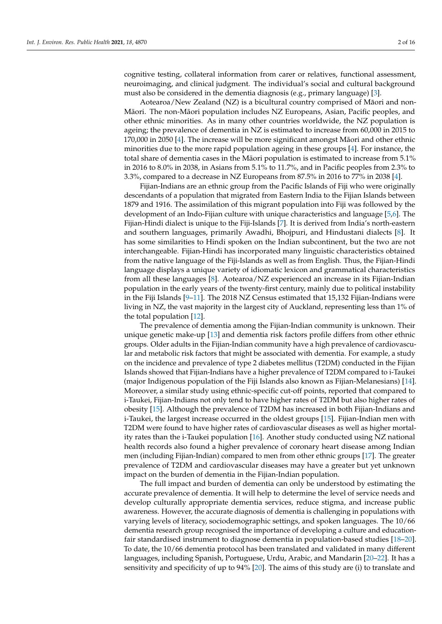cognitive testing, collateral information from carer or relatives, functional assessment, neuroimaging, and clinical judgment. The individual's social and cultural background must also be considered in the dementia diagnosis (e.g., primary language) [\[3\]](#page-12-2).

Aotearoa/New Zealand  $(NZ)$  is a bicultural country comprised of Māori and non-Māori. The non-Māori population includes NZ Europeans, Asian, Pacific peoples, and other ethnic minorities. As in many other countries worldwide, the NZ population is ageing; the prevalence of dementia in NZ is estimated to increase from 60,000 in 2015 to  $170,000$  in  $2050$  [\[4\]](#page-12-3). The increase will be more significant amongst M $\bar{a}$ ori and other ethnic minorities due to the more rapid population ageing in these groups [\[4\]](#page-12-3). For instance, the total share of dementia cases in the Māori population is estimated to increase from  $5.1\%$ in 2016 to 8.0% in 2038, in Asians from 5.1% to 11.7%, and in Pacific peoples from 2.3% to 3.3%, compared to a decrease in NZ Europeans from 87.5% in 2016 to 77% in 2038 [\[4\]](#page-12-3).

Fijian-Indians are an ethnic group from the Pacific Islands of Fiji who were originally descendants of a population that migrated from Eastern India to the Fijian Islands between 1879 and 1916. The assimilation of this migrant population into Fiji was followed by the development of an Indo-Fijian culture with unique characteristics and language [\[5](#page-12-4)[,6\]](#page-12-5). The Fijian-Hindi dialect is unique to the Fiji-Islands [\[7\]](#page-12-6). It is derived from India's north-eastern and southern languages, primarily Awadhi, Bhojpuri, and Hindustani dialects [\[8\]](#page-12-7). It has some similarities to Hindi spoken on the Indian subcontinent, but the two are not interchangeable. Fijian-Hindi has incorporated many linguistic characteristics obtained from the native language of the Fiji-Islands as well as from English. Thus, the Fijian-Hindi language displays a unique variety of idiomatic lexicon and grammatical characteristics from all these languages [\[8\]](#page-12-7). Aotearoa/NZ experienced an increase in its Fijian-Indian population in the early years of the twenty-first century, mainly due to political instability in the Fiji Islands [\[9](#page-12-8)[–11\]](#page-13-0). The 2018 NZ Census estimated that 15,132 Fijian-Indians were living in NZ, the vast majority in the largest city of Auckland, representing less than 1% of the total population [\[12\]](#page-13-1).

The prevalence of dementia among the Fijian-Indian community is unknown. Their unique genetic make-up [\[13\]](#page-13-2) and dementia risk factors profile differs from other ethnic groups. Older adults in the Fijian-Indian community have a high prevalence of cardiovascular and metabolic risk factors that might be associated with dementia. For example, a study on the incidence and prevalence of type 2 diabetes mellitus (T2DM) conducted in the Fijian Islands showed that Fijian-Indians have a higher prevalence of T2DM compared to i-Taukei (major Indigenous population of the Fiji Islands also known as Fijian-Melanesians) [\[14\]](#page-13-3). Moreover, a similar study using ethnic-specific cut-off points, reported that compared to i-Taukei, Fijian-Indians not only tend to have higher rates of T2DM but also higher rates of obesity [\[15\]](#page-13-4). Although the prevalence of T2DM has increased in both Fijian-Indians and i-Taukei, the largest increase occurred in the oldest groups [\[15\]](#page-13-4). Fijian-Indian men with T2DM were found to have higher rates of cardiovascular diseases as well as higher mortality rates than the i-Taukei population [\[16\]](#page-13-5). Another study conducted using NZ national health records also found a higher prevalence of coronary heart disease among Indian men (including Fijian-Indian) compared to men from other ethnic groups [\[17\]](#page-13-6). The greater prevalence of T2DM and cardiovascular diseases may have a greater but yet unknown impact on the burden of dementia in the Fijian-Indian population.

The full impact and burden of dementia can only be understood by estimating the accurate prevalence of dementia. It will help to determine the level of service needs and develop culturally appropriate dementia services, reduce stigma, and increase public awareness. However, the accurate diagnosis of dementia is challenging in populations with varying levels of literacy, sociodemographic settings, and spoken languages. The 10/66 dementia research group recognised the importance of developing a culture and educationfair standardised instrument to diagnose dementia in population-based studies [\[18](#page-13-7)[–20\]](#page-13-8). To date, the 10/66 dementia protocol has been translated and validated in many different languages, including Spanish, Portuguese, Urdu, Arabic, and Mandarin [\[20](#page-13-8)[–22\]](#page-13-9). It has a sensitivity and specificity of up to 94% [\[20\]](#page-13-8). The aims of this study are (i) to translate and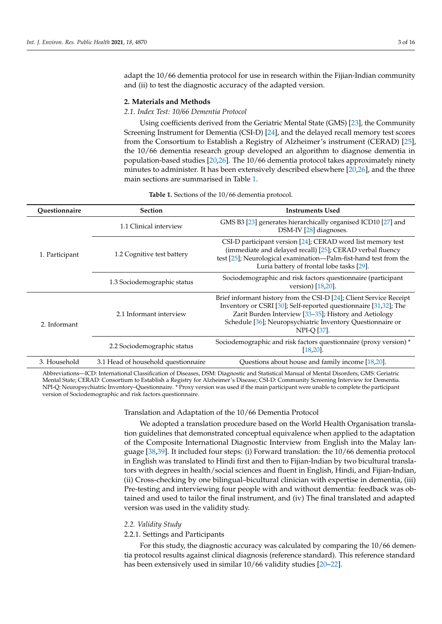adapt the 10/66 dementia protocol for use in research within the Fijian-Indian community and (ii) to test the diagnostic accuracy of the adapted version.

## **2. Materials and Methods**

#### *2.1. Index Test: 10/66 Dementia Protocol*

Using coefficients derived from the Geriatric Mental State (GMS) [\[23\]](#page-13-10), the Community Screening Instrument for Dementia (CSI-D) [\[24\]](#page-13-11), and the delayed recall memory test scores from the Consortium to Establish a Registry of Alzheimer's instrument (CERAD) [\[25\]](#page-13-12), the 10/66 dementia research group developed an algorithm to diagnose dementia in population-based studies [\[20,](#page-13-8)[26\]](#page-13-13). The 10/66 dementia protocol takes approximately ninety minutes to administer. It has been extensively described elsewhere [\[20](#page-13-8)[,26\]](#page-13-13), and the three main sections are summarised in Table [1.](#page-2-0)

**Table 1.** Sections of the 10/66 dementia protocol.

<span id="page-2-0"></span>

| Ouestionnaire  | <b>Section</b>                      | <b>Instruments Used</b>                                                                                                                                                                                                                                                              |  |  |
|----------------|-------------------------------------|--------------------------------------------------------------------------------------------------------------------------------------------------------------------------------------------------------------------------------------------------------------------------------------|--|--|
| 1. Participant | 1.1 Clinical interview              | GMS B3 [23] generates hierarchically organised ICD10 [27] and<br>DSM-IV [28] diagnoses.                                                                                                                                                                                              |  |  |
|                | 1.2 Cognitive test battery          | CSI-D participant version [24]; CERAD word list memory test<br>(immediate and delayed recall) [25]; CERAD verbal fluency<br>test [25]; Neurological examination—Palm-fist-hand test from the<br>Luria battery of frontal lobe tasks [29].                                            |  |  |
|                | 1.3 Sociodemographic status         | Sociodemographic and risk factors questionnaire (participant<br>version) $[18, 20]$ .                                                                                                                                                                                                |  |  |
| 2. Informant   | 2.1 Informant interview             | Brief informant history from the CSI-D [24]; Client Service Receipt<br>Inventory or CSRI [30]; Self-reported questionnaire [31,32]; The<br>Zarit Burden Interview [33-35]; History and Aetiology<br>Schedule [36]; Neuropsychiatric Inventory Questionnaire or<br><b>NPI-O [37].</b> |  |  |
|                | 2.2 Sociodemographic status         | Sociodemographic and risk factors questionnaire (proxy version) *<br>$[18, 20]$ .                                                                                                                                                                                                    |  |  |
| 3. Household   | 3.1 Head of household questionnaire | Questions about house and family income [18,20].                                                                                                                                                                                                                                     |  |  |

Abbreviations—ICD: International Classification of Diseases, DSM: Diagnostic and Statistical Manual of Mental Disorders, GMS: Geriatric Mental State; CERAD: Consortium to Establish a Registry for Alzheimer's Disease; CSI-D: Community Screening Interview for Dementia. NPI-Q: Neuropsychiatric Inventory–Questionnaire. \* Proxy version was used if the main participant were unable to complete the participant version of Sociodemographic and risk factors questionnaire.

#### Translation and Adaptation of the 10/66 Dementia Protocol

We adopted a translation procedure based on the World Health Organisation translation guidelines that demonstrated conceptual equivalence when applied to the adaptation of the Composite International Diagnostic Interview from English into the Malay language [\[38,](#page-14-1)[39\]](#page-14-2). It included four steps: (i) Forward translation: the 10/66 dementia protocol in English was translated to Hindi first and then to Fijian-Indian by two bicultural translators with degrees in health/social sciences and fluent in English, Hindi, and Fijian-Indian, (ii) Cross-checking by one bilingual–bicultural clinician with expertise in dementia, (iii) Pre-testing and interviewing four people with and without dementia: feedback was obtained and used to tailor the final instrument, and (iv) The final translated and adapted version was used in the validity study.

#### *2.2. Validity Study*

## 2.2.1. Settings and Participants

For this study, the diagnostic accuracy was calculated by comparing the 10/66 dementia protocol results against clinical diagnosis (reference standard). This reference standard has been extensively used in similar 10/66 validity studies [\[20–](#page-13-8)[22\]](#page-13-9).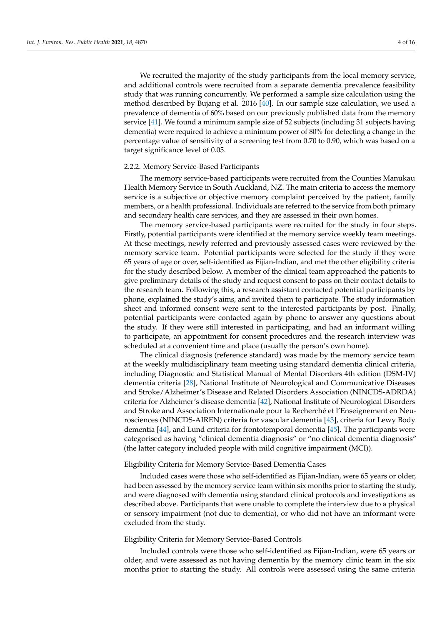We recruited the majority of the study participants from the local memory service, and additional controls were recruited from a separate dementia prevalence feasibility study that was running concurrently. We performed a sample size calculation using the method described by Bujang et al. 2016 [\[40\]](#page-14-3). In our sample size calculation, we used a prevalence of dementia of 60% based on our previously published data from the memory service [\[41\]](#page-14-4). We found a minimum sample size of 52 subjects (including 31 subjects having dementia) were required to achieve a minimum power of 80% for detecting a change in the percentage value of sensitivity of a screening test from 0.70 to 0.90, which was based on a target significance level of 0.05.

#### 2.2.2. Memory Service-Based Participants

The memory service-based participants were recruited from the Counties Manukau Health Memory Service in South Auckland, NZ. The main criteria to access the memory service is a subjective or objective memory complaint perceived by the patient, family members, or a health professional. Individuals are referred to the service from both primary and secondary health care services, and they are assessed in their own homes.

The memory service-based participants were recruited for the study in four steps. Firstly, potential participants were identified at the memory service weekly team meetings. At these meetings, newly referred and previously assessed cases were reviewed by the memory service team. Potential participants were selected for the study if they were 65 years of age or over, self-identified as Fijian-Indian, and met the other eligibility criteria for the study described below. A member of the clinical team approached the patients to give preliminary details of the study and request consent to pass on their contact details to the research team. Following this, a research assistant contacted potential participants by phone, explained the study's aims, and invited them to participate. The study information sheet and informed consent were sent to the interested participants by post. Finally, potential participants were contacted again by phone to answer any questions about the study. If they were still interested in participating, and had an informant willing to participate, an appointment for consent procedures and the research interview was scheduled at a convenient time and place (usually the person's own home).

The clinical diagnosis (reference standard) was made by the memory service team at the weekly multidisciplinary team meeting using standard dementia clinical criteria, including Diagnostic and Statistical Manual of Mental Disorders 4th edition (DSM-IV) dementia criteria [\[28\]](#page-13-15), National Institute of Neurological and Communicative Diseases and Stroke/Alzheimer's Disease and Related Disorders Association (NINCDS-ADRDA) criteria for Alzheimer's disease dementia [\[42\]](#page-14-5), National Institute of Neurological Disorders and Stroke and Association Internationale pour la Recherché et l'Enseignement en Neurosciences (NINCDS-AIREN) criteria for vascular dementia [\[43\]](#page-14-6), criteria for Lewy Body dementia [\[44\]](#page-14-7), and Lund criteria for frontotemporal dementia [\[45\]](#page-14-8). The participants were categorised as having "clinical dementia diagnosis" or "no clinical dementia diagnosis" (the latter category included people with mild cognitive impairment (MCI)).

## Eligibility Criteria for Memory Service-Based Dementia Cases

Included cases were those who self-identified as Fijian-Indian, were 65 years or older, had been assessed by the memory service team within six months prior to starting the study, and were diagnosed with dementia using standard clinical protocols and investigations as described above. Participants that were unable to complete the interview due to a physical or sensory impairment (not due to dementia), or who did not have an informant were excluded from the study.

## Eligibility Criteria for Memory Service-Based Controls

Included controls were those who self-identified as Fijian-Indian, were 65 years or older, and were assessed as not having dementia by the memory clinic team in the six months prior to starting the study. All controls were assessed using the same criteria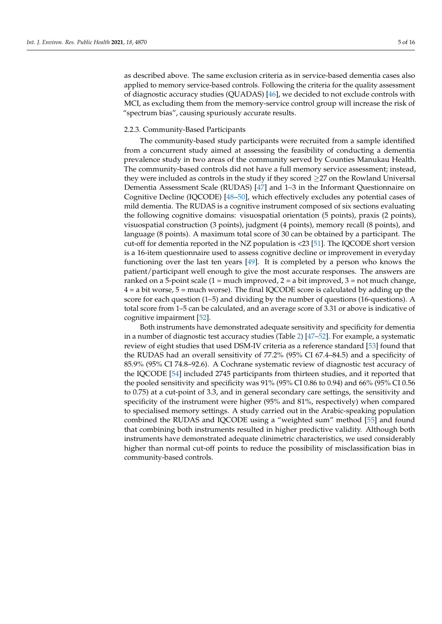as described above. The same exclusion criteria as in service-based dementia cases also applied to memory service-based controls. Following the criteria for the quality assessment of diagnostic accuracy studies (QUADAS) [\[46\]](#page-14-9), we decided to not exclude controls with MCI, as excluding them from the memory-service control group will increase the risk of "spectrum bias", causing spuriously accurate results.

## 2.2.3. Community-Based Participants

The community-based study participants were recruited from a sample identified from a concurrent study aimed at assessing the feasibility of conducting a dementia prevalence study in two areas of the community served by Counties Manukau Health. The community-based controls did not have a full memory service assessment; instead, they were included as controls in the study if they scored ≥27 on the Rowland Universal Dementia Assessment Scale (RUDAS) [\[47\]](#page-14-10) and 1–3 in the Informant Questionnaire on Cognitive Decline (IQCODE) [\[48](#page-14-11)[–50\]](#page-14-12), which effectively excludes any potential cases of mild dementia. The RUDAS is a cognitive instrument composed of six sections evaluating the following cognitive domains: visuospatial orientation (5 points), praxis (2 points), visuospatial construction (3 points), judgment (4 points), memory recall (8 points), and language (8 points). A maximum total score of 30 can be obtained by a participant. The cut-off for dementia reported in the NZ population is <23 [\[51\]](#page-14-13). The IQCODE short version is a 16-item questionnaire used to assess cognitive decline or improvement in everyday functioning over the last ten years [\[49\]](#page-14-14). It is completed by a person who knows the patient/participant well enough to give the most accurate responses. The answers are ranked on a 5-point scale (1 = much improved, 2 = a bit improved, 3 = not much change,  $4 = a$  bit worse,  $5 =$  much worse). The final IQCODE score is calculated by adding up the score for each question (1–5) and dividing by the number of questions (16-questions). A total score from 1–5 can be calculated, and an average score of 3.31 or above is indicative of cognitive impairment [\[52\]](#page-14-15).

Both instruments have demonstrated adequate sensitivity and specificity for dementia in a number of diagnostic test accuracy studies (Table [2\)](#page-5-0) [\[47](#page-14-10)[–52\]](#page-14-15). For example, a systematic review of eight studies that used DSM-IV criteria as a reference standard [\[53\]](#page-14-16) found that the RUDAS had an overall sensitivity of 77.2% (95% CI 67.4–84.5) and a specificity of 85.9% (95% CI 74.8–92.6). A Cochrane systematic review of diagnostic test accuracy of the IQCODE [\[54\]](#page-14-17) included 2745 participants from thirteen studies, and it reported that the pooled sensitivity and specificity was 91% (95% CI 0.86 to 0.94) and 66% (95% CI 0.56 to 0.75) at a cut-point of 3.3, and in general secondary care settings, the sensitivity and specificity of the instrument were higher (95% and 81%, respectively) when compared to specialised memory settings. A study carried out in the Arabic-speaking population combined the RUDAS and IQCODE using a "weighted sum" method [\[55\]](#page-14-18) and found that combining both instruments resulted in higher predictive validity. Although both instruments have demonstrated adequate clinimetric characteristics, we used considerably higher than normal cut-off points to reduce the possibility of misclassification bias in community-based controls.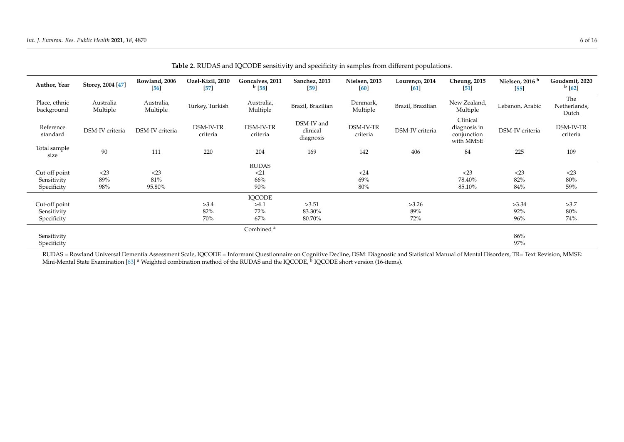| Author, Year                | Storey, 2004 [47]     | Rowland, 2006          | Ozel-Kizil, 2010      | Goncalves, 2011        | Sanchez, 2013                       | Nielsen, 2013         | Lourenço, 2014    | <b>Cheung</b> , 2015                                 | Nielsen, 2016 <sup>b</sup> | Goudsmit, 2020               |
|-----------------------------|-----------------------|------------------------|-----------------------|------------------------|-------------------------------------|-----------------------|-------------------|------------------------------------------------------|----------------------------|------------------------------|
|                             |                       | [56]                   | [57]                  | $^{b}$ [58]            | [59]                                | [60]                  | [61]              | $\lceil 51 \rceil$                                   | [55]                       | $^{b}$ [62]                  |
| Place, ethnic<br>background | Australia<br>Multiple | Australia,<br>Multiple | Turkey, Turkish       | Australia,<br>Multiple | Brazil, Brazilian                   | Denmark,<br>Multiple  | Brazil, Brazilian | New Zealand,<br>Multiple                             | Lebanon, Arabic            | The<br>Netherlands,<br>Dutch |
| Reference<br>standard       | DSM-IV criteria       | DSM-IV criteria        | DSM-IV-TR<br>criteria | DSM-IV-TR<br>criteria  | DSM-IV and<br>clinical<br>diagnosis | DSM-IV-TR<br>criteria | DSM-IV criteria   | Clinical<br>diagnosis in<br>conjunction<br>with MMSE | DSM-IV criteria            | DSM-IV-TR<br>criteria        |
| Total sample<br>size        | 90                    | 111                    | 220                   | 204                    | 169                                 | 142                   | 406               | 84                                                   | 225                        | 109                          |
|                             |                       |                        |                       | <b>RUDAS</b>           |                                     |                       |                   |                                                      |                            |                              |
| Cut-off point               | $<$ 23                | $<$ 23                 |                       | <21                    |                                     | $<$ 24                |                   | $<$ 23                                               | $<$ 23                     | $<$ 23                       |
| Sensitivity                 | 89%                   | 81%                    |                       | 66%                    |                                     | 69%                   |                   | 78.40%                                               | 82%                        | $80\%$                       |
| Specificity                 | 98%                   | 95.80%                 |                       | 90%                    |                                     | 80%                   |                   | 85.10%                                               | 84%                        | 59%                          |
|                             |                       |                        |                       | <b>IQCODE</b>          |                                     |                       |                   |                                                      |                            |                              |
| Cut-off point               |                       |                        | >3.4                  | >4.1                   | >3.51                               |                       | >3.26             |                                                      | >3.34                      | >3.7                         |
| Sensitivity                 |                       |                        | 82%                   | 72%                    | 83.30%                              |                       | 89%               |                                                      | 92%                        | 80%                          |
| Specificity                 |                       |                        | 70%                   | 67%                    | 80.70%                              |                       | 72%               |                                                      | 96%                        | 74%                          |
|                             |                       |                        |                       | Combined <sup>a</sup>  |                                     |                       |                   |                                                      |                            |                              |
| Sensitivity                 |                       |                        |                       |                        |                                     |                       |                   |                                                      | 86%                        |                              |
| Specificity                 |                       |                        |                       |                        |                                     |                       |                   |                                                      | 97%                        |                              |

**Table 2.** RUDAS and IQCODE sensitivity and specificity in samples from different populations.

<span id="page-5-0"></span>RUDAS = Rowland Universal Dementia Assessment Scale, IQCODE = Informant Questionnaire on Cognitive Decline, DSM: Diagnostic and Statistical Manual of Mental Disorders, TR= Text Revision, MMSE: Mini-Mental State Examination [\[63\]](#page-15-2) <sup>a</sup> Weighted combination method of the RUDAS and the IQCODE, <sup>b</sup> IQCODE short version (16-items).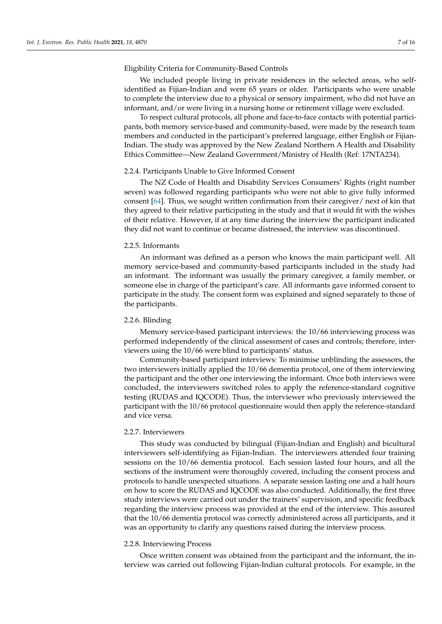## Eligibility Criteria for Community-Based Controls

We included people living in private residences in the selected areas, who selfidentified as Fijian-Indian and were 65 years or older. Participants who were unable to complete the interview due to a physical or sensory impairment, who did not have an informant, and/or were living in a nursing home or retirement village were excluded.

To respect cultural protocols, all phone and face-to-face contacts with potential participants, both memory service-based and community-based, were made by the research team members and conducted in the participant's preferred language, either English or Fijian-Indian. The study was approved by the New Zealand Northern A Health and Disability Ethics Committee—New Zealand Government/Ministry of Health (Ref: 17NTA234).

## 2.2.4. Participants Unable to Give Informed Consent

The NZ Code of Health and Disability Services Consumers' Rights (right number seven) was followed regarding participants who were not able to give fully informed consent [\[64\]](#page-15-3). Thus, we sought written confirmation from their caregiver/ next of kin that they agreed to their relative participating in the study and that it would fit with the wishes of their relative. However, if at any time during the interview the participant indicated they did not want to continue or became distressed, the interview was discontinued.

## 2.2.5. Informants

An informant was defined as a person who knows the main participant well. All memory service-based and community-based participants included in the study had an informant. The informant was usually the primary caregiver, a family member, or someone else in charge of the participant's care. All informants gave informed consent to participate in the study. The consent form was explained and signed separately to those of the participants.

## 2.2.6. Blinding

Memory service-based participant interviews: the 10/66 interviewing process was performed independently of the clinical assessment of cases and controls; therefore, interviewers using the 10/66 were blind to participants' status.

Community-based participant interviews: To minimise unblinding the assessors, the two interviewers initially applied the 10/66 dementia protocol, one of them interviewing the participant and the other one interviewing the informant. Once both interviews were concluded, the interviewers switched roles to apply the reference-standard cognitive testing (RUDAS and IQCODE). Thus, the interviewer who previously interviewed the participant with the 10/66 protocol questionnaire would then apply the reference-standard and vice versa.

## 2.2.7. Interviewers

This study was conducted by bilingual (Fijian-Indian and English) and bicultural interviewers self-identifying as Fijian-Indian. The interviewers attended four training sessions on the 10/66 dementia protocol. Each session lasted four hours, and all the sections of the instrument were thoroughly covered, including the consent process and protocols to handle unexpected situations. A separate session lasting one and a half hours on how to score the RUDAS and IQCODE was also conducted. Additionally, the first three study interviews were carried out under the trainers' supervision, and specific feedback regarding the interview process was provided at the end of the interview. This assured that the 10/66 dementia protocol was correctly administered across all participants, and it was an opportunity to clarify any questions raised during the interview process.

#### 2.2.8. Interviewing Process

Once written consent was obtained from the participant and the informant, the interview was carried out following Fijian-Indian cultural protocols. For example, in the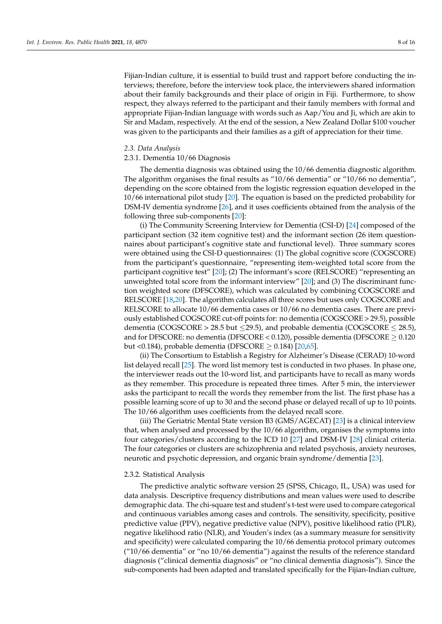Fijian-Indian culture, it is essential to build trust and rapport before conducting the interviews; therefore, before the interview took place, the interviewers shared information about their family backgrounds and their place of origin in Fiji. Furthermore, to show respect, they always referred to the participant and their family members with formal and appropriate Fijian-Indian language with words such as Aap/You and Ji, which are akin to Sir and Madam, respectively. At the end of the session, a New Zealand Dollar \$100 voucher was given to the participants and their families as a gift of appreciation for their time.

#### *2.3. Data Analysis*

## 2.3.1. Dementia 10/66 Diagnosis

The dementia diagnosis was obtained using the 10/66 dementia diagnostic algorithm. The algorithm organises the final results as "10/66 dementia" or "10/66 no dementia", depending on the score obtained from the logistic regression equation developed in the 10/66 international pilot study [\[20\]](#page-13-8). The equation is based on the predicted probability for DSM-IV dementia syndrome [\[26\]](#page-13-13), and it uses coefficients obtained from the analysis of the following three sub-components [\[20\]](#page-13-8):

(i) The Community Screening Interview for Dementia (CSI-D) [\[24\]](#page-13-11) composed of the participant section (32 item cognitive test) and the informant section (26 item questionnaires about participant's cognitive state and functional level). Three summary scores were obtained using the CSI-D questionnaires: (1) The global cognitive score (COGSCORE) from the participant's questionnaire, "representing item-weighted total score from the participant cognitive test" [\[20\]](#page-13-8); (2) The informant's score (RELSCORE) "representing an unweighted total score from the informant interview" [\[20\]](#page-13-8); and (3) The discriminant function weighted score (DFSCORE), which was calculated by combining COGSCORE and RELSCORE [\[18](#page-13-7)[,20\]](#page-13-8). The algorithm calculates all three scores but uses only COGSCORE and RELSCORE to allocate 10/66 dementia cases or 10/66 no dementia cases. There are previously established COGSCORE cut-off points for: no dementia (COGSCORE > 29.5), possible dementia (COGSCORE > 28.5 but  $\leq$ 29.5), and probable dementia (COGSCORE  $\leq$  28.5), and for DFSCORE: no dementia (DFSCORE <  $0.120$ ), possible dementia (DFSCORE  $\geq 0.120$ but <0.184), probable dementia (DFSCORE  $\geq$  0.184) [\[20,](#page-13-8)[65\]](#page-15-4).

(ii) The Consortium to Establish a Registry for Alzheimer's Disease (CERAD) 10-word list delayed recall [\[25\]](#page-13-12). The word list memory test is conducted in two phases. In phase one, the interviewer reads out the 10-word list, and participants have to recall as many words as they remember. This procedure is repeated three times. After 5 min, the interviewer asks the participant to recall the words they remember from the list. The first phase has a possible learning score of up to 30 and the second phase or delayed recall of up to 10 points. The 10/66 algorithm uses coefficients from the delayed recall score.

(iii) The Geriatric Mental State version B3 (GMS/AGECAT) [\[23\]](#page-13-10) is a clinical interview that, when analysed and processed by the 10/66 algorithm, organises the symptoms into four categories/clusters according to the ICD 10 [\[27\]](#page-13-14) and DSM-IV [\[28\]](#page-13-15) clinical criteria. The four categories or clusters are schizophrenia and related psychosis, anxiety neuroses, neurotic and psychotic depression, and organic brain syndrome/dementia [\[23\]](#page-13-10).

#### 2.3.2. Statistical Analysis

The predictive analytic software version 25 (SPSS, Chicago, IL, USA) was used for data analysis. Descriptive frequency distributions and mean values were used to describe demographic data. The chi-square test and student's t-test were used to compare categorical and continuous variables among cases and controls. The sensitivity, specificity, positive predictive value (PPV), negative predictive value (NPV), positive likelihood ratio (PLR), negative likelihood ratio (NLR), and Youden's index (as a summary measure for sensitivity and specificity) were calculated comparing the 10/66 dementia protocol primary outcomes ("10/66 dementia" or "no 10/66 dementia") against the results of the reference standard diagnosis ("clinical dementia diagnosis" or "no clinical dementia diagnosis"). Since the sub-components had been adapted and translated specifically for the Fijian-Indian culture,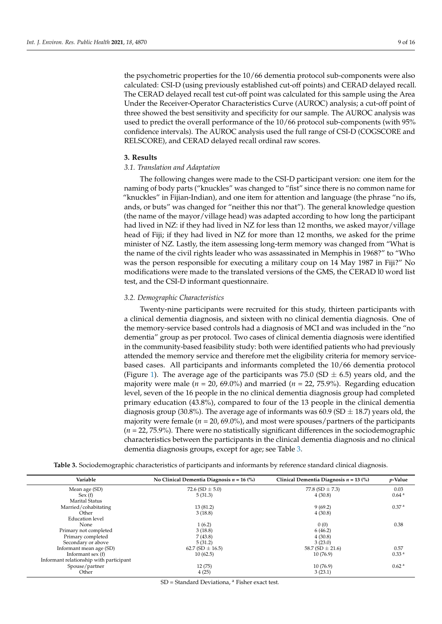the psychometric properties for the 10/66 dementia protocol sub-components were also calculated: CSI-D (using previously established cut-off points) and CERAD delayed recall. The CERAD delayed recall test cut-off point was calculated for this sample using the Area Under the Receiver-Operator Characteristics Curve (AUROC) analysis; a cut-off point of three showed the best sensitivity and specificity for our sample. The AUROC analysis was used to predict the overall performance of the 10/66 protocol sub-components (with 95% confidence intervals). The AUROC analysis used the full range of CSI-D (COGSCORE and RELSCORE), and CERAD delayed recall ordinal raw scores.

#### **3. Results**

#### *3.1. Translation and Adaptation*

The following changes were made to the CSI-D participant version: one item for the naming of body parts ("knuckles" was changed to "fist" since there is no common name for "knuckles" in Fijian-Indian), and one item for attention and language (the phrase "no ifs, ands, or buts" was changed for "neither this nor that"). The general knowledge question (the name of the mayor/village head) was adapted according to how long the participant had lived in NZ: if they had lived in NZ for less than 12 months, we asked mayor/village head of Fiji; if they had lived in NZ for more than 12 months, we asked for the prime minister of NZ. Lastly, the item assessing long-term memory was changed from "What is the name of the civil rights leader who was assassinated in Memphis in 1968?" to "Who was the person responsible for executing a military coup on 14 May 1987 in Fiji?" No modifications were made to the translated versions of the GMS, the CERAD l0 word list test, and the CSI-D informant questionnaire.

### *3.2. Demographic Characteristics*

Twenty-nine participants were recruited for this study, thirteen participants with a clinical dementia diagnosis, and sixteen with no clinical dementia diagnosis. One of the memory-service based controls had a diagnosis of MCI and was included in the "no dementia" group as per protocol. Two cases of clinical dementia diagnosis were identified in the community-based feasibility study: both were identified patients who had previously attended the memory service and therefore met the eligibility criteria for memory servicebased cases. All participants and informants completed the 10/66 dementia protocol (Figure [1\)](#page-9-0). The average age of the participants was 75.0 (SD  $\pm$  6.5) years old, and the majority were male ( $n = 20, 69.0\%$ ) and married ( $n = 22, 75.9\%$ ). Regarding education level, seven of the 16 people in the no clinical dementia diagnosis group had completed primary education (43.8%), compared to four of the 13 people in the clinical dementia diagnosis group (30.8%). The average age of informants was 60.9 (SD  $\pm$  18.7) years old, the majority were female ( $n = 20, 69.0\%$ ), and most were spouses/partners of the participants (*n* = 22, 75.9%). There were no statistically significant differences in the sociodemographic characteristics between the participants in the clinical dementia diagnosis and no clinical dementia diagnosis groups, except for age; see Table [3.](#page-8-0)

|  | Table 3. Sociodemographic characteristics of participants and informants by reference standard clinical diagnosis |  |  |  |  |
|--|-------------------------------------------------------------------------------------------------------------------|--|--|--|--|
|  |                                                                                                                   |  |  |  |  |

<span id="page-8-0"></span>

| Variable                                | No Clinical Dementia Diagnosis $n = 16$ (%) | Clinical Dementia Diagnosis $n = 13$ (%) | $p$ -Value        |
|-----------------------------------------|---------------------------------------------|------------------------------------------|-------------------|
| Mean age (SD)                           | 72.6 (SD $\pm$ 5.0)                         | 77.8 (SD $\pm$ 7.3)                      | 0.03              |
| Sex(f)                                  | 5(31.3)                                     | 4(30.8)                                  | 0.64 <sup>a</sup> |
| <b>Marital Status</b>                   |                                             |                                          |                   |
| Married/cohabitating                    | 13 (81.2)                                   | 9(69.2)                                  | 0.37 <sup>a</sup> |
| Other                                   | 3(18.8)                                     | 4(30.8)                                  |                   |
| <b>Education</b> level                  |                                             |                                          |                   |
| None                                    | 1(6.2)                                      | 0(0)                                     | 0.38              |
| Primary not completed                   | 3(18.8)                                     | 6(46.2)                                  |                   |
| Primary completed                       | 7(43.8)                                     | 4(30.8)                                  |                   |
| Secondary or above                      | 5(31.2)                                     | 3(23.0)                                  |                   |
| Informant mean age (SD)                 | 62.7 (SD $\pm$ 16.5)                        | 58.7 (SD $\pm$ 21.6)                     | 0.57              |
| Informant sex $(f)$                     | 10(62.5)                                    | 10(76.9)                                 | 0.33 <sup>a</sup> |
| Informant relationship with participant |                                             |                                          |                   |
| Spouse/partner                          | 12(75)                                      | 10(76.9)                                 | 0.62 <sup>a</sup> |
| Other                                   | 4(25)                                       | 3(23.1)                                  |                   |
|                                         |                                             |                                          |                   |

SD = Standard Deviationa, <sup>a</sup> Fisher exact test.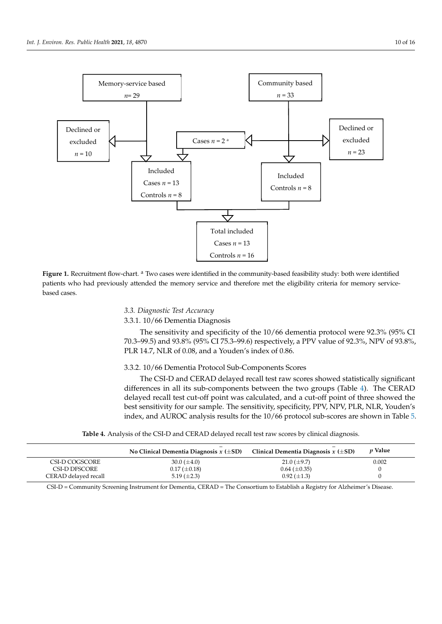<span id="page-9-0"></span>

tia diagnosis groups, except for age; see Table 3.

patients who had previously attended the memory service and therefore met the eligibility criteria for memory service-<br>hased asses fied patients who had previously attended the memory service and the eligibility criteria for memory service  $\mathcal{L}$ **Figure 1.** Recruitment flow-chart. <sup>a</sup> Two cases were identified in the community-based feasibility study: both were identified based cases.

# *3.3. Diagnostic Test Accuracy*

3.3.1. 10/66 Dementia Diagnosis

The sensitivity and specificity of the 10/66 dementia protocol were 92.3% (95% CI 70.3–99.5) and 93.8% (95% CI 75.3–99.6) respectively, a PPV value of 92.3%, NPV of 93.8%, PLR 14.7, NLR of 0.08, and a Youden's index of 0.86.

## 3.3.2. 10/66 Dementia Protocol Sub-Components Scores

The CSI-D and CERAD delayed recall test raw scores showed statistically significant differences in all its sub-components between the two groups (Table [4\)](#page-9-1). The CERAD delayed recall test cut-off point was calculated, and a cut-off point of three showed the best sensitivity for our sample. The sensitivity, specificity, PPV, NPV, PLR, NLR, Youden's index, and AUROC analysis results for the 10/66 protocol sub-scores are shown in Table [5.](#page-10-0)

**Table 4.** Analysis of the CSI-D and CERAD delayed recall test raw scores by clinical diagnosis.

<span id="page-9-1"></span>

|                      | _<br>No Clinical Dementia Diagnosis $x \in SD$ | Clinical Dementia Diagnosis $x \in SD$ | <i>p</i> Value |
|----------------------|------------------------------------------------|----------------------------------------|----------------|
| CSI-D COGSCORE       | 30.0 $(\pm 4.0)$                               | $21.0 \ (\pm 9.7)$                     | 0.002          |
| CSI-D DFSCORE        | $0.17 (\pm 0.18)$                              | $0.64 \ (\pm 0.35)$                    |                |
| CERAD delayed recall | 5.19 $(\pm 2.3)$                               | $0.92 \ (\pm 1.3)$                     |                |

CSI-D = Community Screening Instrument for Dementia, CERAD = The Consortium to Establish a Registry for Alzheimer's Disease.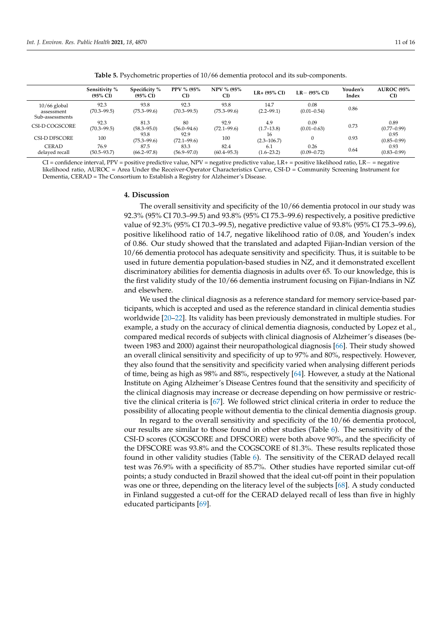<span id="page-10-0"></span>

|                                                 | Sensitivity %<br>$(95\% \text{ CI})$ | Specificity %<br>$(95\% \text{ CI})$ | PPV % (95%<br>CI)       | <b>NPV % (95%)</b><br>CI) | $LR+$ (95% CI)         | $LR - (95\% \ CI)$      | Youden's<br>Index | <b>AUROC (95%)</b><br>CI) |
|-------------------------------------------------|--------------------------------------|--------------------------------------|-------------------------|---------------------------|------------------------|-------------------------|-------------------|---------------------------|
| $10/66$ global<br>assessment<br>Sub-assessments | 92.3<br>$(70.3 - 99.5)$              | 93.8<br>$(75.3 - 99.6)$              | 92.3<br>$(70.3 - 99.5)$ | 93.8<br>$(75.3 - 99.6)$   | 14.7<br>$(2.2 - 99.1)$ | 0.08<br>$(0.01 - 0.54)$ | 0.86              |                           |
| CSI-D COGSCORE                                  | 92.3<br>$(70.3 - 99.5)$              | 81.3<br>$(58.3 - 95.0)$              | 80<br>$(56.0 - 94.6)$   | 92.9<br>$(72.1 - 99.6)$   | 4.9<br>$(1.7-13.8)$    | 0.09<br>$(0.01 - 0.63)$ | 0.73              | 0.89<br>$(0.77 - 0.99)$   |
| CSI-D DFSCORE                                   | 100                                  | 93.8<br>$(75.3 - 99.6)$              | 92.9<br>$(72.1 - 99.6)$ | 100                       | 16<br>$(2.3 - 106.7)$  |                         | 0.93              | 0.95<br>$(0.85 - 0.99)$   |
| <b>CERAD</b><br>delayed recall                  | 76.9<br>$(50.5 - 93.7)$              | 87.5<br>$(66.2 - 97.8)$              | 83.3<br>$(56.9 - 97.0)$ | 82.4<br>$(60.4 - 95.3)$   | 6.1<br>$(1.6 - 23.2)$  | 0.26<br>$(0.09 - 0.72)$ | 0.64              | 0.93<br>$(0.83 - 0.99)$   |

**Table 5.** Psychometric properties of 10/66 dementia protocol and its sub-components.

CI = confidence interval, PPV = positive predictive value, NPV = negative predictive value, LR+ = positive likelihood ratio, LR− = negative likelihood ratio, AUROC = Area Under the Receiver-Operator Characteristics Curve, CSI-D = Community Screening Instrument for Dementia, CERAD = The Consortium to Establish a Registry for Alzheimer's Disease.

#### **4. Discussion**

The overall sensitivity and specificity of the 10/66 dementia protocol in our study was 92.3% (95% CI 70.3–99.5) and 93.8% (95% CI 75.3–99.6) respectively, a positive predictive value of 92.3% (95% CI 70.3–99.5), negative predictive value of 93.8% (95% CI 75.3–99.6), positive likelihood ratio of 14.7, negative likelihood ratio of 0.08, and Youden's index of 0.86. Our study showed that the translated and adapted Fijian-Indian version of the 10/66 dementia protocol has adequate sensitivity and specificity. Thus, it is suitable to be used in future dementia population-based studies in NZ, and it demonstrated excellent discriminatory abilities for dementia diagnosis in adults over 65. To our knowledge, this is the first validity study of the 10/66 dementia instrument focusing on Fijian-Indians in NZ and elsewhere.

We used the clinical diagnosis as a reference standard for memory service-based participants, which is accepted and used as the reference standard in clinical dementia studies worldwide [\[20–](#page-13-8)[22\]](#page-13-9). Its validity has been previously demonstrated in multiple studies. For example, a study on the accuracy of clinical dementia diagnosis, conducted by Lopez et al., compared medical records of subjects with clinical diagnosis of Alzheimer's diseases (between 1983 and 2000) against their neuropathological diagnosis [\[66\]](#page-15-5). Their study showed an overall clinical sensitivity and specificity of up to 97% and 80%, respectively. However, they also found that the sensitivity and specificity varied when analysing different periods of time, being as high as 98% and 88%, respectively [\[64\]](#page-15-3). However, a study at the National Institute on Aging Alzheimer's Disease Centres found that the sensitivity and specificity of the clinical diagnosis may increase or decrease depending on how permissive or restrictive the clinical criteria is [\[67\]](#page-15-6). We followed strict clinical criteria in order to reduce the possibility of allocating people without dementia to the clinical dementia diagnosis group.

In regard to the overall sensitivity and specificity of the 10/66 dementia protocol, our results are similar to those found in other studies (Table [6\)](#page-11-0). The sensitivity of the CSI-D scores (COGSCORE and DFSCORE) were both above 90%, and the specificity of the DFSCORE was 93.8% and the COGSCORE of 81.3%. These results replicated those found in other validity studies (Table [6\)](#page-11-0). The sensitivity of the CERAD delayed recall test was 76.9% with a specificity of 85.7%. Other studies have reported similar cut-off points; a study conducted in Brazil showed that the ideal cut-off point in their population was one or three, depending on the literacy level of the subjects [\[68\]](#page-15-7). A study conducted in Finland suggested a cut-off for the CERAD delayed recall of less than five in highly educated participants [\[69\]](#page-15-8).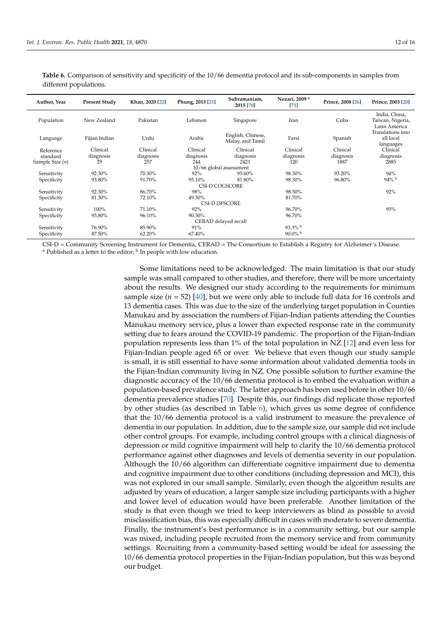<span id="page-11-0"></span>**Table 6.** Comparison of sensitivity and specificity of the 10/66 dementia protocol and its sub-components in samples from different populations.

| Author, Year                  | <b>Present Study</b> | Khan, 2020 [22]  | Phung, 2015 [21] | Subramaniam,<br>2015 [70]             |                  | Prince, 2008 [26] | Prince, 2003 [20]                                  |
|-------------------------------|----------------------|------------------|------------------|---------------------------------------|------------------|-------------------|----------------------------------------------------|
| Population                    | New Zealand          | Pakistan         | Lebanon          | Singapore                             | Iran             | Cuba              | India, China,<br>Taiwan, Nigeria,<br>Latin America |
| Language                      | Fijian Indian        | Urdu             | Arabic           | English, Chinese,<br>Malay, and Tamil | Farsi            | Spanish           | Translations into<br>all local<br>languages        |
| Reference                     | Clinical             | Clinical         | Clinical         | Clinical                              | Clinical         | Clinical          | Clinical                                           |
| standard<br>Sample Size $(n)$ | diagnosis<br>29      | diagnosis<br>257 | diagnosis<br>244 | diagnosis<br>2421                     | diagnosis<br>120 | diagnosis<br>1887 | diagnosis<br>2885                                  |
|                               |                      |                  |                  | 10/66 global assessment               |                  |                   |                                                    |
| Sensitivity                   | 92.30%               | 70.30%           | 92%              | 95.60%                                | 98.30%           | 93.20%            | 94%                                                |
| Specificity                   | 93.80%               | 91.70%           | 95.10%           | 81.80%                                | 98.30%           | 96.80%            | $94\%$ b                                           |
|                               |                      |                  |                  | <b>CSI-D COGSCORE</b>                 |                  |                   |                                                    |
| Sensitivity                   | 92.30%               | 86.70%           | 98%              |                                       | 98.30%           |                   | 92%                                                |
| Specificity                   | 81.30%               | 72.10%           | 49.30%           |                                       | 81.70%           |                   |                                                    |
|                               |                      |                  |                  | <b>CSI-D DFSCORE</b>                  |                  |                   |                                                    |
| Sensitivity                   | 100%                 | 71.10%           | 92%              |                                       | 96.70%           |                   | 95%                                                |
| Specificity                   | 93.80%               | 96.10%           | 90.30%           |                                       | 96.70%           |                   |                                                    |
|                               |                      |                  |                  | CERAD delayed recall                  |                  |                   |                                                    |
| Sensitivity                   | 76.90%               | 85.90%           | 91%              |                                       | $93.3\%$         |                   |                                                    |
| Specificity                   | 87.50%               | 62.20%           | 67.40%           |                                       | $90.0\%$ b       |                   |                                                    |
|                               |                      |                  |                  |                                       |                  |                   |                                                    |

CSI-D = Community Screening Instrument for Dementia, CERAD = The Consortium to Establish a Registry for Alzheimer's Disease.

<sup>a</sup> Published as a letter to the editor; <sup>b</sup> In people with low education.

Some limitations need to be acknowledged. The main limitation is that our study sample was small compared to other studies, and therefore, there will be more uncertainty about the results. We designed our study according to the requirements for minimum sample size  $(n = 52)$  [\[40\]](#page-14-3), but we were only able to include full data for 16 controls and 13 dementia cases. This was due to the size of the underlying target population in Counties Manukau and by association the numbers of Fijian-Indian patients attending the Counties Manukau memory service, plus a lower than expected response rate in the community setting due to fears around the COVID-19 pandemic. The proportion of the Fijian-Indian population represents less than 1% of the total population in NZ [\[12\]](#page-13-1) and even less for Fijian-Indian people aged 65 or over. We believe that even though our study sample is small, it is still essential to have some information about validated dementia tools in the Fijian-Indian community living in NZ. One possible solution to further examine the diagnostic accuracy of the 10/66 dementia protocol is to embed the evaluation within a population-based prevalence study. The latter approach has been used before in other 10/66 dementia prevalence studies [\[70\]](#page-15-9). Despite this, our findings did replicate those reported by other studies (as described in Table [6\)](#page-11-0), which gives us some degree of confidence that the 10/66 dementia protocol is a valid instrument to measure the prevalence of dementia in our population. In addition, due to the sample size, our sample did not include other control groups. For example, including control groups with a clinical diagnosis of depression or mild cognitive impairment will help to clarify the 10/66 dementia protocol performance against other diagnoses and levels of dementia severity in our population. Although the 10/66 algorithm can differentiate cognitive impairment due to dementia and cognitive impairment due to other conditions (including depression and MCI), this was not explored in our small sample. Similarly, even though the algorithm results are adjusted by years of education, a larger sample size including participants with a higher and lower level of education would have been preferable. Another limitation of the study is that even though we tried to keep interviewers as blind as possible to avoid misclassification bias, this was especially difficult in cases with moderate to severe dementia. Finally, the instrument's best performance is in a community setting, but our sample was mixed, including people recruited from the memory service and from community settings. Recruiting from a community-based setting would be ideal for assessing the 10/66 dementia protocol properties in the Fijian-Indian population, but this was beyond our budget.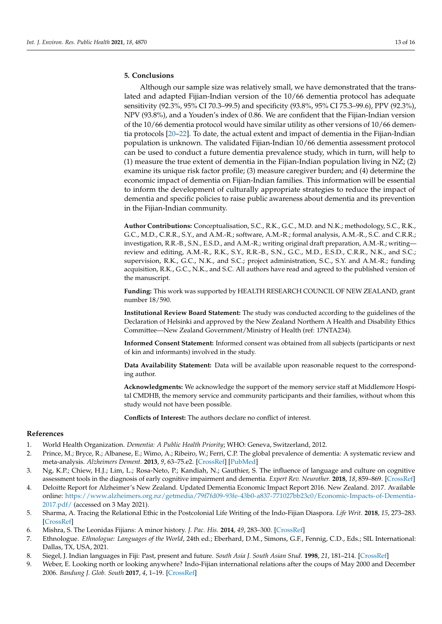# **5. Conclusions**

Although our sample size was relatively small, we have demonstrated that the translated and adapted Fijian-Indian version of the 10/66 dementia protocol has adequate sensitivity (92.3%, 95% CI 70.3–99.5) and specificity (93.8%, 95% CI 75.3–99.6), PPV (92.3%), NPV (93.8%), and a Youden's index of 0.86. We are confident that the Fijian-Indian version of the 10/66 dementia protocol would have similar utility as other versions of 10/66 dementia protocols [\[20–](#page-13-8)[22\]](#page-13-9). To date, the actual extent and impact of dementia in the Fijian-Indian population is unknown. The validated Fijian-Indian 10/66 dementia assessment protocol can be used to conduct a future dementia prevalence study, which in turn, will help to (1) measure the true extent of dementia in the Fijian-Indian population living in NZ; (2) examine its unique risk factor profile; (3) measure caregiver burden; and (4) determine the economic impact of dementia on Fijian-Indian families. This information will be essential to inform the development of culturally appropriate strategies to reduce the impact of dementia and specific policies to raise public awareness about dementia and its prevention in the Fijian-Indian community.

**Author Contributions:** Conceptualisation, S.C., R.K., G.C., M.D. and N.K.; methodology, S.C., R.K., G.C., M.D., C.R.R., S.Y., and A.M.-R.; software, A.M.-R.; formal analysis, A.M.-R., S.C. and C.R.R.; investigation, R.R.-B., S.N., E.S.D., and A.M.-R.; writing original draft preparation, A.M.-R.; writing review and editing, A.M.-R., R.K., S.Y., R.R.-B., S.N., G.C., M.D., E.S.D., C.R.R., N.K., and S.C.; supervision, R.K., G.C., N.K., and S.C.; project administration, S.C., S.Y. and A.M.-R.; funding acquisition, R.K., G.C., N.K., and S.C. All authors have read and agreed to the published version of the manuscript.

**Funding:** This work was supported by HEALTH RESEARCH COUNCIL OF NEW ZEALAND, grant number 18/590.

**Institutional Review Board Statement:** The study was conducted according to the guidelines of the Declaration of Helsinki and approved by the New Zealand Northern A Health and Disability Ethics Committee—New Zealand Government/Ministry of Health (ref: 17NTA234).

**Informed Consent Statement:** Informed consent was obtained from all subjects (participants or next of kin and informants) involved in the study.

**Data Availability Statement:** Data will be available upon reasonable request to the corresponding author.

**Acknowledgments:** We acknowledge the support of the memory service staff at Middlemore Hospital CMDHB, the memory service and community participants and their families, without whom this study would not have been possible.

**Conflicts of Interest:** The authors declare no conflict of interest.

#### **References**

- <span id="page-12-0"></span>1. World Health Organization. *Dementia: A Public Health Priority*; WHO: Geneva, Switzerland, 2012.
- <span id="page-12-1"></span>2. Prince, M.; Bryce, R.; Albanese, E.; Wimo, A.; Ribeiro, W.; Ferri, C.P. The global prevalence of dementia: A systematic review and meta-analysis. *Alzheimers Dement.* **2013**, *9*, 63–75.e2. [\[CrossRef\]](http://doi.org/10.1016/j.jalz.2012.11.007) [\[PubMed\]](http://www.ncbi.nlm.nih.gov/pubmed/23305823)
- <span id="page-12-2"></span>3. Ng, K.P.; Chiew, H.J.; Lim, L.; Rosa-Neto, P.; Kandiah, N.; Gauthier, S. The influence of language and culture on cognitive assessment tools in the diagnosis of early cognitive impairment and dementia. *Expert Rev. Neurother.* **2018**, *18*, 859–869. [\[CrossRef\]](http://doi.org/10.1080/14737175.2018.1532792)
- <span id="page-12-3"></span>4. Deloitte Report for Alzheimer's New Zealand. Updated Dementia Economic Impact Report 2016. New Zealand. 2017. Available online: [https://www.alzheimers.org.nz/getmedia/79f7fd09-93fe-43b0-a837-771027bb23c0/Economic-Impacts-of-Dementia-](https://www.alzheimers.org.nz/getmedia/79f7fd09-93fe-43b0-a837-771027bb23c0/Economic-Impacts-of-Dementia-2017.pdf/)[2017.pdf/](https://www.alzheimers.org.nz/getmedia/79f7fd09-93fe-43b0-a837-771027bb23c0/Economic-Impacts-of-Dementia-2017.pdf/) (accessed on 3 May 2021).
- <span id="page-12-4"></span>5. Sharma, A. Tracing the Relational Ethic in the Postcolonial Life Writing of the Indo-Fijian Diaspora. *Life Writ.* **2018**, *15*, 273–283. [\[CrossRef\]](http://doi.org/10.1080/14484528.2018.1423226)
- <span id="page-12-5"></span>6. Mishra, S. The Leonidas Fijians: A minor history. *J. Pac. His.* **2014**, *49*, 283–300. [\[CrossRef\]](http://doi.org/10.1080/00223344.2014.960690)
- <span id="page-12-6"></span>7. Ethnologue. *Ethnologue: Languages of the World*, 24th ed.; Eberhard, D.M., Simons, G.F., Fennig, C.D., Eds.; SIL International: Dallas, TX, USA, 2021.
- <span id="page-12-7"></span>8. Siegel, J. Indian languages in Fiji: Past, present and future. *South Asia J. South Asian Stud.* **1998**, *21*, 181–214. [\[CrossRef\]](http://doi.org/10.1080/00856409808723355)
- <span id="page-12-8"></span>9. Weber, E. Looking north or looking anywhere? Indo-Fijian international relations after the coups of May 2000 and December 2006. *Bandung J. Glob. South* **2017**, *4*, 1–19. [\[CrossRef\]](http://doi.org/10.1186/s40728-017-0039-4)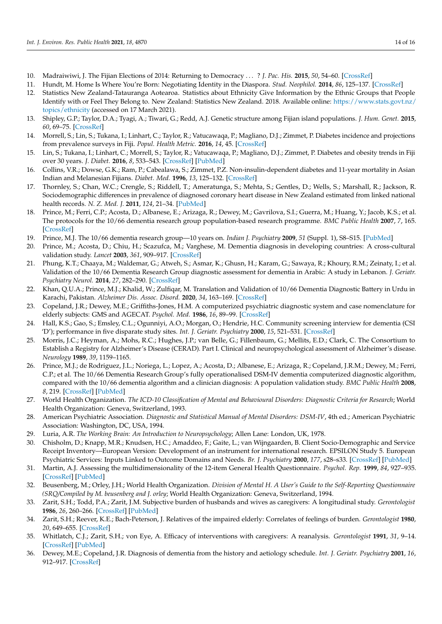- 10. Madraiwiwi, J. The Fijian Elections of 2014: Returning to Democracy . . . ? *J. Pac. His.* **2015**, *50*, 54–60. [\[CrossRef\]](http://doi.org/10.1080/00223344.2015.1016255)
- <span id="page-13-0"></span>11. Hundt, M. Home Is Where You're Born: Negotiating Identity in the Diaspora. *Stud. Neophilol.* **2014**, *86*, 125–137. [\[CrossRef\]](http://doi.org/10.1080/00393274.2014.959292)
- <span id="page-13-1"></span>12. Statistics New Zealand-Tatauranga Aotearoa. Statistics about Ethnicity Give Information by the Ethnic Groups that People Identify with or Feel They Belong to. New Zealand: Statistics New Zealand. 2018. Available online: [https://www.stats.govt.nz/](https://www.stats.govt.nz/topics/ethnicity) [topics/ethnicity](https://www.stats.govt.nz/topics/ethnicity) (accessed on 17 March 2021).
- <span id="page-13-2"></span>13. Shipley, G.P.; Taylor, D.A.; Tyagi, A.; Tiwari, G.; Redd, A.J. Genetic structure among Fijian island populations. *J. Hum. Genet.* **2015**, *60*, 69–75. [\[CrossRef\]](http://doi.org/10.1038/jhg.2014.105)
- <span id="page-13-3"></span>14. Morrell, S.; Lin, S.; Tukana, I.; Linhart, C.; Taylor, R.; Vatucawaqa, P.; Magliano, D.J.; Zimmet, P. Diabetes incidence and projections from prevalence surveys in Fiji. *Popul. Health Metric.* **2016**, *14*, 45. [\[CrossRef\]](http://doi.org/10.1186/s12963-016-0114-0)
- <span id="page-13-4"></span>15. Lin, S.; Tukana, I.; Linhart, C.; Morrell, S.; Taylor, R.; Vatucawaqa, P.; Magliano, D.J.; Zimmet, P. Diabetes and obesity trends in Fiji over 30 years. *J. Diabet.* **2016**, *8*, 533–543. [\[CrossRef\]](http://doi.org/10.1111/1753-0407.12326) [\[PubMed\]](http://www.ncbi.nlm.nih.gov/pubmed/26201444)
- <span id="page-13-5"></span>16. Collins, V.R.; Dowse, G.K.; Ram, P.; Cabealawa, S.; Zimmet, P.Z. Non-insulin-dependent diabetes and 11-year mortality in Asian Indian and Melanesian Fijians. *Diabet. Med.* **1996**, *13*, 125–132. [\[CrossRef\]](http://doi.org/10.1002/(SICI)1096-9136(199602)13:2<125::AID-DIA13>3.0.CO;2-P)
- <span id="page-13-6"></span>17. Thornley, S.; Chan, W.C.; Crengle, S.; Riddell, T.; Ameratunga, S.; Mehta, S.; Gentles, D.; Wells, S.; Marshall, R.; Jackson, R. Sociodemographic differences in prevalence of diagnosed coronary heart disease in New Zealand estimated from linked national health records. *N. Z. Med. J.* **2011**, *124*, 21–34. [\[PubMed\]](http://www.ncbi.nlm.nih.gov/pubmed/21946633)
- <span id="page-13-7"></span>18. Prince, M.; Ferri, C.P.; Acosta, D.; Albanese, E.; Arizaga, R.; Dewey, M.; Gavrilova, S.I.; Guerra, M.; Huang, Y.; Jacob, K.S.; et al. The protocols for the 10/66 dementia research group population-based research programme. *BMC Public Health* **2007**, *7*, 165. [\[CrossRef\]](http://doi.org/10.1186/1471-2458-7-165)
- 19. Prince, M.J. The 10/66 dementia research group—10 years on. *Indian J. Psychiatry* **2009**, *51* (Suppl. 1), S8–S15. [\[PubMed\]](http://www.ncbi.nlm.nih.gov/pubmed/21416024)
- <span id="page-13-8"></span>20. Prince, M.; Acosta, D.; Chiu, H.; Scazufca, M.; Varghese, M. Dementia diagnosis in developing countries: A cross-cultural validation study. *Lancet* **2003**, *361*, 909–917. [\[CrossRef\]](http://doi.org/10.1016/S0140-6736(03)12772-9)
- <span id="page-13-23"></span>21. Phung, K.T.; Chaaya, M.; Waldemar, G.; Atweh, S.; Asmar, K.; Ghusn, H.; Karam, G.; Sawaya, R.; Khoury, R.M.; Zeinaty, I.; et al. Validation of the 10/66 Dementia Research Group diagnostic assessment for dementia in Arabic: A study in Lebanon. *J. Geriatr. Psychiatry Neurol.* **2014**, *27*, 282–290. [\[CrossRef\]](http://doi.org/10.1177/0891988714532019)
- <span id="page-13-9"></span>22. Khan, Q.U.A.; Prince, M.J.; Khalid, W.; Zulfiqar, M. Translation and Validation of 10/66 Dementia Diagnostic Battery in Urdu in Karachi, Pakistan. *Alzheimer Dis. Assoc. Disord.* **2020**, *34*, 163–169. [\[CrossRef\]](http://doi.org/10.1097/WAD.0000000000000359)
- <span id="page-13-10"></span>23. Copeland, J.R.; Dewey, M.E.; Griffiths-Jones, H.M. A computerized psychiatric diagnostic system and case nomenclature for elderly subjects: GMS and AGECAT. *Psychol. Med.* **1986**, *16*, 89–99. [\[CrossRef\]](http://doi.org/10.1017/S0033291700057779)
- <span id="page-13-11"></span>24. Hall, K.S.; Gao, S.; Emsley, C.L.; Ogunniyi, A.O.; Morgan, O.; Hendrie, H.C. Community screening interview for dementia (CSI 'D'); performance in five disparate study sites. *Int. J. Geriatr. Psychiatry* **2000**, *15*, 521–531. [\[CrossRef\]](http://doi.org/10.1002/1099-1166(200006)15:6<521::AID-GPS182>3.0.CO;2-F)
- <span id="page-13-12"></span>25. Morris, J.C.; Heyman, A.; Mohs, R.C.; Hughes, J.P.; van Belle, G.; Fillenbaum, G.; Mellits, E.D.; Clark, C. The Consortium to Establish a Registry for Alzheimer's Disease (CERAD). Part I. Clinical and neuropsychological assessment of Alzheimer's disease. *Neurology* **1989**, *39*, 1159–1165.
- <span id="page-13-13"></span>26. Prince, M.J.; de Rodriguez, J.L.; Noriega, L.; Lopez, A.; Acosta, D.; Albanese, E.; Arizaga, R.; Copeland, J.R.M.; Dewey, M.; Ferri, C.P.; et al. The 10/66 Dementia Research Group's fully operationalised DSM-IV dementia computerized diagnostic algorithm, compared with the 10/66 dementia algorithm and a clinician diagnosis: A population validation study. *BMC Public Health* **2008**, *8*, 219. [\[CrossRef\]](http://doi.org/10.1186/1471-2458-8-219) [\[PubMed\]](http://www.ncbi.nlm.nih.gov/pubmed/18577205)
- <span id="page-13-14"></span>27. World Health Organization. *The ICD-10 Classification of Mental and Behavioural Disorders: Diagnostic Criteria for Research*; World Health Organization: Geneva, Switzerland, 1993.
- <span id="page-13-15"></span>28. American Psychiatric Association. *Diagnostic and Statistical Manual of Mental Disorders: DSM-IV*, 4th ed.; American Psychiatric Association: Washington, DC, USA, 1994.
- <span id="page-13-16"></span>29. Luria, A.R. *The Working Brain: An Introduction to Neuropsychology*; Allen Lane: London, UK, 1978.
- <span id="page-13-17"></span>30. Chisholm, D.; Knapp, M.R.; Knudsen, H.C.; Amaddeo, F.; Gaite, L.; van Wijngaarden, B. Client Socio-Demographic and Service Receipt Inventory—European Version: Development of an instrument for international research. EPSILON Study 5. European Psychiatric Services: Inputs Linked to Outcome Domains and Needs. *Br. J. Psychiatry* **2000**, *177*, s28–s33. [\[CrossRef\]](http://doi.org/10.1192/bjp.177.39.s28) [\[PubMed\]](http://www.ncbi.nlm.nih.gov/pubmed/10945075)
- <span id="page-13-18"></span>31. Martin, A.J. Assessing the multidimensionality of the 12-item General Health Questionnaire. *Psychol. Rep.* **1999**, *84*, 927–935. [\[CrossRef\]](http://doi.org/10.2466/pr0.1999.84.3.927) [\[PubMed\]](http://www.ncbi.nlm.nih.gov/pubmed/10408215)
- <span id="page-13-19"></span>32. Beusenberg, M.; Orley, J.H.; World Health Organization. *Division of Mental H. A User's Guide to the Self-Reporting Questionnaire (SRQ/Compiled by M. beusenberg and J. orley*; World Health Organization: Geneva, Switzerland, 1994.
- <span id="page-13-20"></span>33. Zarit, S.H.; Todd, P.A.; Zarit, J.M. Subjective burden of husbands and wives as caregivers: A longitudinal study. *Gerontologist* **1986**, *26*, 260–266. [\[CrossRef\]](http://doi.org/10.1093/geront/26.3.260) [\[PubMed\]](http://www.ncbi.nlm.nih.gov/pubmed/3721233)
- 34. Zarit, S.H.; Reever, K.E.; Bach-Peterson, J. Relatives of the impaired elderly: Correlates of feelings of burden. *Gerontologist* **1980**, *20*, 649–655. [\[CrossRef\]](http://doi.org/10.1093/geront/20.6.649)
- <span id="page-13-21"></span>35. Whitlatch, C.J.; Zarit, S.H.; von Eye, A. Efficacy of interventions with caregivers: A reanalysis. *Gerontologist* **1991**, *31*, 9–14. [\[CrossRef\]](http://doi.org/10.1093/geront/31.1.9) [\[PubMed\]](http://www.ncbi.nlm.nih.gov/pubmed/2007480)
- <span id="page-13-22"></span>36. Dewey, M.E.; Copeland, J.R. Diagnosis of dementia from the history and aetiology schedule. *Int. J. Geriatr. Psychiatry* **2001**, *16*, 912–917. [\[CrossRef\]](http://doi.org/10.1002/gps.446)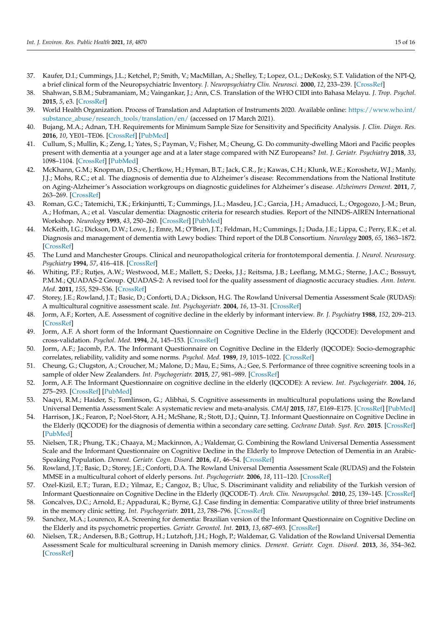- <span id="page-14-0"></span>37. Kaufer, D.I.; Cummings, J.L.; Ketchel, P.; Smith, V.; MacMillan, A.; Shelley, T.; Lopez, O.L.; DeKosky, S.T. Validation of the NPI-Q, a brief clinical form of the Neuropsychiatric Inventory. *J. Neuropsychiatry Clin. Neurosci.* **2000**, *12*, 233–239. [\[CrossRef\]](http://doi.org/10.1176/jnp.12.2.233)
- <span id="page-14-1"></span>38. Shahwan, S.B.M.; Subramaniam, M.; Vaingankar, J.; Ann, C.S. Translation of the WHO CIDI into Bahasa Melayu. *J. Trop. Psychol.* **2015**, *5*, e3. [\[CrossRef\]](http://doi.org/10.1017/jtp.2015.3)
- <span id="page-14-19"></span><span id="page-14-2"></span>39. World Health Organization. Process of Translation and Adaptation of Instruments 2020. Available online: [https://www.who.int/](https://www.who.int/substance_abuse/research_tools/translation/en/) [substance\\_abuse/research\\_tools/translation/en/](https://www.who.int/substance_abuse/research_tools/translation/en/) (accessed on 17 March 2021).
- <span id="page-14-3"></span>40. Bujang, M.A.; Adnan, T.H. Requirements for Minimum Sample Size for Sensitivity and Specificity Analysis. *J. Clin. Diagn. Res.* **2016**, *10*, YE01–TE06. [\[CrossRef\]](http://doi.org/10.7860/JCDR/2016/18129.8744) [\[PubMed\]](http://www.ncbi.nlm.nih.gov/pubmed/27891446)
- <span id="page-14-4"></span>41. Cullum, S.; Mullin, K.; Zeng, I.; Yates, S.; Payman, V.; Fisher, M.; Cheung, G. Do community-dwelling Maori and Pacific peoples ¯ present with dementia at a younger age and at a later stage compared with NZ Europeans? *Int. J. Geriatr. Psychiatry* **2018**, *33*, 1098–1104. [\[CrossRef\]](http://doi.org/10.1002/gps.4898) [\[PubMed\]](http://www.ncbi.nlm.nih.gov/pubmed/29766582)
- <span id="page-14-25"></span><span id="page-14-5"></span>42. McKhann, G.M.; Knopman, D.S.; Chertkow, H.; Hyman, B.T.; Jack, C.R., Jr.; Kawas, C.H.; Klunk, W.E.; Koroshetz, W.J.; Manly, J.J.; Mohs, R.C.; et al. The diagnosis of dementia due to Alzheimer's disease: Recommendations from the National Institute on Aging-Alzheimer's Association workgroups on diagnostic guidelines for Alzheimer's disease. *Alzheimers Dement.* **2011**, *7*, 263–269. [\[CrossRef\]](http://doi.org/10.1016/j.jalz.2011.03.005)
- <span id="page-14-6"></span>43. Roman, G.C.; Tatemichi, T.K.; Erkinjuntti, T.; Cummings, J.L.; Masdeu, J.C.; Garcia, J.H.; Amaducci, L.; Orgogozo, J.-M.; Brun, A.; Hofman, A.; et al. Vascular dementia: Diagnostic criteria for research studies. Report of the NINDS-AIREN International Workshop. *Neurology* **1993**, *43*, 250–260. [\[CrossRef\]](http://doi.org/10.1212/WNL.43.2.250) [\[PubMed\]](http://www.ncbi.nlm.nih.gov/pubmed/8094895)
- <span id="page-14-7"></span>44. McKeith, I.G.; Dickson, D.W.; Lowe, J.; Emre, M.; O'Brien, J.T.; Feldman, H.; Cummings, J.; Duda, J.E.; Lippa, C.; Perry, E.K.; et al. Diagnosis and management of dementia with Lewy bodies: Third report of the DLB Consortium. *Neurology* **2005**, *65*, 1863–1872. [\[CrossRef\]](http://doi.org/10.1212/01.wnl.0000187889.17253.b1)
- <span id="page-14-26"></span><span id="page-14-8"></span>45. The Lund and Manchester Groups. Clinical and neuropathological criteria for frontotemporal dementia. *J. Neurol. Neurosurg. Psychiatry* **1994**, *57*, 416–418. [\[CrossRef\]](http://doi.org/10.1136/jnnp.57.4.416)
- <span id="page-14-20"></span><span id="page-14-9"></span>46. Whiting, P.F.; Rutjes, A.W.; Westwood, M.E.; Mallett, S.; Deeks, J.J.; Reitsma, J.B.; Leeflang, M.M.G.; Sterne, J.A.C.; Bossuyt, P.M.M.; QUADAS-2 Group. QUADAS-2: A revised tool for the quality assessment of diagnostic accuracy studies. *Ann. Intern. Med.* **2011**, *155*, 529–536. [\[CrossRef\]](http://doi.org/10.7326/0003-4819-155-8-201110180-00009)
- <span id="page-14-21"></span><span id="page-14-10"></span>47. Storey, J.E.; Rowland, J.T.; Basic, D.; Conforti, D.A.; Dickson, H.G. The Rowland Universal Dementia Assessment Scale (RUDAS): A multicultural cognitive assessment scale. *Int. Psychogeriatr.* **2004**, *16*, 13–31. [\[CrossRef\]](http://doi.org/10.1017/S1041610204000043)
- <span id="page-14-22"></span><span id="page-14-11"></span>48. Jorm, A.F.; Korten, A.E. Assessment of cognitive decline in the elderly by informant interview. *Br. J. Psychiatry* **1988**, *152*, 209–213. [\[CrossRef\]](http://doi.org/10.1192/bjp.152.2.209)
- <span id="page-14-23"></span><span id="page-14-14"></span>49. Jorm, A.F. A short form of the Informant Questionnaire on Cognitive Decline in the Elderly (IQCODE): Development and cross-validation. *Psychol. Med.* **1994**, *24*, 145–153. [\[CrossRef\]](http://doi.org/10.1017/S003329170002691X)
- <span id="page-14-24"></span><span id="page-14-12"></span>50. Jorm, A.F.; Jacomb, P.A. The Informant Questionnaire on Cognitive Decline in the Elderly (IQCODE): Socio-demographic correlates, reliability, validity and some norms. *Psychol. Med.* **1989**, *19*, 1015–1022. [\[CrossRef\]](http://doi.org/10.1017/S0033291700005742)
- <span id="page-14-13"></span>51. Cheung, G.; Clugston, A.; Croucher, M.; Malone, D.; Mau, E.; Sims, A.; Gee, S. Performance of three cognitive screening tools in a sample of older New Zealanders. *Int. Psychogeriatr.* **2015**, *27*, 981–989. [\[CrossRef\]](http://doi.org/10.1017/S1041610214002889)
- <span id="page-14-15"></span>52. Jorm, A.F. The Informant Questionnaire on cognitive decline in the elderly (IQCODE): A review. *Int. Psychogeriatr.* **2004**, *16*, 275–293. [\[CrossRef\]](http://doi.org/10.1017/S1041610204000390) [\[PubMed\]](http://www.ncbi.nlm.nih.gov/pubmed/15559753)
- <span id="page-14-16"></span>53. Naqvi, R.M.; Haider, S.; Tomlinson, G.; Alibhai, S. Cognitive assessments in multicultural populations using the Rowland Universal Dementia Assessment Scale: A systematic review and meta-analysis. *CMAJ* **2015**, *187*, E169–E175. [\[CrossRef\]](http://doi.org/10.1503/cmaj.140802) [\[PubMed\]](http://www.ncbi.nlm.nih.gov/pubmed/25691786)
- <span id="page-14-17"></span>54. Harrison, J.K.; Fearon, P.; Noel-Storr, A.H.; McShane, R.; Stott, D.J.; Quinn, T.J. Informant Questionnaire on Cognitive Decline in the Elderly (IQCODE) for the diagnosis of dementia within a secondary care setting. *Cochrane Datab. Syst. Rev.* **2015**. [\[CrossRef\]](http://doi.org/10.1002/14651858.CD010772.pub2) [\[PubMed\]](http://www.ncbi.nlm.nih.gov/pubmed/25754745)
- <span id="page-14-18"></span>55. Nielsen, T.R.; Phung, T.K.; Chaaya, M.; Mackinnon, A.; Waldemar, G. Combining the Rowland Universal Dementia Assessment Scale and the Informant Questionnaire on Cognitive Decline in the Elderly to Improve Detection of Dementia in an Arabic-Speaking Population. *Dement. Geriatr. Cogn. Disord.* **2016**, *41*, 46–54. [\[CrossRef\]](http://doi.org/10.1159/000441649)
- 56. Rowland, J.T.; Basic, D.; Storey, J.E.; Conforti, D.A. The Rowland Universal Dementia Assessment Scale (RUDAS) and the Folstein MMSE in a multicultural cohort of elderly persons. *Int. Psychogeriatr.* **2006**, *18*, 111–120. [\[CrossRef\]](http://doi.org/10.1017/S1041610205003133)
- 57. Ozel-Kizil, E.T.; Turan, E.D.; Yilmaz, E.; Cangoz, B.; Uluc, S. Discriminant validity and reliability of the Turkish version of Informant Questionnaire on Cognitive Decline in the Elderly (IQCODE-T). *Arch. Clin. Neuropsychol.* **2010**, *25*, 139–145. [\[CrossRef\]](http://doi.org/10.1093/arclin/acp103)
- 58. Goncalves, D.C.; Arnold, E.; Appadurai, K.; Byrne, G.J. Case finding in dementia: Comparative utility of three brief instruments in the memory clinic setting. *Int. Psychogeriatr.* **2011**, *23*, 788–796. [\[CrossRef\]](http://doi.org/10.1017/S1041610210002292)
- 59. Sanchez, M.A.; Lourenco, R.A. Screening for dementia: Brazilian version of the Informant Questionnaire on Cognitive Decline on the Elderly and its psychometric properties. *Geriatr. Gerontol. Int.* **2013**, *13*, 687–693. [\[CrossRef\]](http://doi.org/10.1111/j.1447-0594.2012.00966.x)
- 60. Nielsen, T.R.; Andersen, B.B.; Gottrup, H.; Lutzhoft, J.H.; Hogh, P.; Waldemar, G. Validation of the Rowland Universal Dementia Assessment Scale for multicultural screening in Danish memory clinics. *Dement. Geriatr. Cogn. Disord.* **2013**, *36*, 354–362. [\[CrossRef\]](http://doi.org/10.1159/000354375)